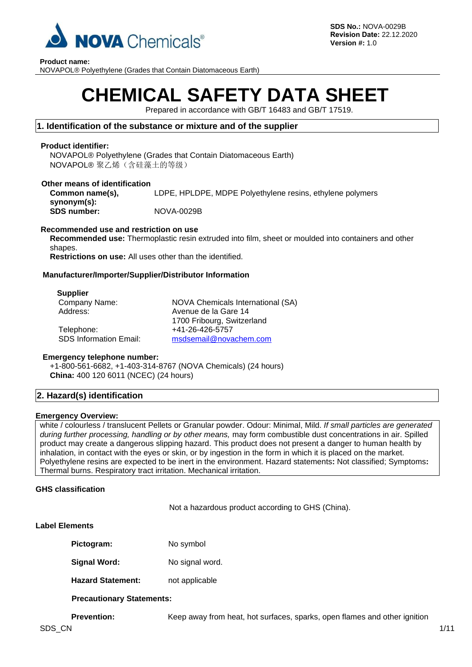

**Product name:**

NOVAPOL® Polyethylene (Grades that Contain Diatomaceous Earth)

# **CHEMICAL SAFETY DATA SHEET**

Prepared in accordance with GB/T 16483 and GB/T 17519.

# **1. Identification of the substance or mixture and of the supplier**

# **Product identifier:**

NOVAPOL® Polyethylene (Grades that Contain Diatomaceous Earth) NOVAPOL® 聚乙烯(含硅藻土的等级)

#### **Other means of identification Common name(s), synonym(s):** LDPE, HPLDPE, MDPE Polyethylene resins, ethylene polymers

**SDS number:** NOVA-0029B

# **Recommended use and restriction on use**

**Recommended use:** Thermoplastic resin extruded into film, sheet or moulded into containers and other shapes.

**Restrictions on use:** All uses other than the identified.

# **Manufacturer/Importer/Supplier/Distributor Information**

#### **Supplier**

| Company Name:                 | NOVA Chemicals International (SA) |
|-------------------------------|-----------------------------------|
| Address:                      | Avenue de la Gare 14              |
|                               | 1700 Fribourg, Switzerland        |
| Telephone:                    | +41-26-426-5757                   |
| <b>SDS Information Email:</b> | msdsemail@novachem.com            |

#### **Emergency telephone number:**

+1-800-561-6682, +1-403-314-8767 (NOVA Chemicals) (24 hours) **China:** 400 120 6011 (NCEC) (24 hours)

# **2. Hazard(s) identification**

#### **Emergency Overview:**

white / colourless / translucent Pellets or Granular powder. Odour: Minimal, Mild. *If small particles are generated during further processing, handling or by other means,* may form combustible dust concentrations in air. Spilled product may create a dangerous slipping hazard. This product does not present a danger to human health by inhalation, in contact with the eyes or skin, or by ingestion in the form in which it is placed on the market. Polyethylene resins are expected to be inert in the environment. Hazard statements**:** Not classified; Symptoms**:**  Thermal burns. Respiratory tract irritation. Mechanical irritation.

# **GHS classification**

Not a hazardous product according to GHS (China).

# **Label Elements**

| Pictogram: | No symbol |
|------------|-----------|
|------------|-----------|

- **Signal Word:** No signal word.
- **Hazard Statement:** not applicable

# **Precautionary Statements:**

**Prevention:** Keep away from heat, hot surfaces, sparks, open flames and other ignition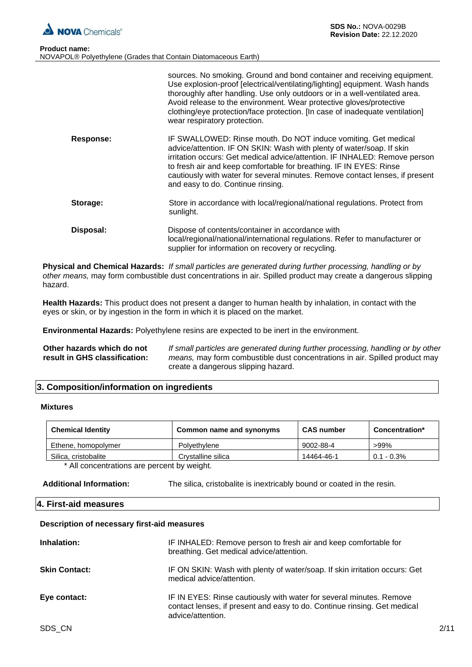

| <b>Product name:</b> |                                                                |
|----------------------|----------------------------------------------------------------|
|                      | NOVAPOL® Polyethylene (Grades that Contain Diatomaceous Earth) |

|                  | sources. No smoking. Ground and bond container and receiving equipment.<br>Use explosion-proof [electrical/ventilating/lighting] equipment. Wash hands<br>thoroughly after handling. Use only outdoors or in a well-ventilated area.<br>Avoid release to the environment. Wear protective gloves/protective<br>clothing/eye protection/face protection. [In case of inadequate ventilation]<br>wear respiratory protection. |
|------------------|-----------------------------------------------------------------------------------------------------------------------------------------------------------------------------------------------------------------------------------------------------------------------------------------------------------------------------------------------------------------------------------------------------------------------------|
| <b>Response:</b> | IF SWALLOWED: Rinse mouth. Do NOT induce vomiting. Get medical<br>advice/attention. IF ON SKIN: Wash with plenty of water/soap. If skin<br>irritation occurs: Get medical advice/attention. IF INHALED: Remove person<br>to fresh air and keep comfortable for breathing. IF IN EYES: Rinse<br>cautiously with water for several minutes. Remove contact lenses, if present<br>and easy to do. Continue rinsing.            |
| Storage:         | Store in accordance with local/regional/national regulations. Protect from<br>sunlight.                                                                                                                                                                                                                                                                                                                                     |
|                  |                                                                                                                                                                                                                                                                                                                                                                                                                             |

**Disposal:** Dispose of contents/container in accordance with local/regional/national/international regulations. Refer to manufacturer or supplier for information on recovery or recycling.

**Physical and Chemical Hazards:** *If small particles are generated during further processing, handling or by other means,* may form combustible dust concentrations in air. Spilled product may create a dangerous slipping hazard.

**Health Hazards:** This product does not present a danger to human health by inhalation, in contact with the eyes or skin, or by ingestion in the form in which it is placed on the market.

**Environmental Hazards:** Polyethylene resins are expected to be inert in the environment.

**Other hazards which do not result in GHS classification:** *If small particles are generated during further processing, handling or by other means,* may form combustible dust concentrations in air. Spilled product may create a dangerous slipping hazard.

# **3. Composition/information on ingredients**

#### **Mixtures**

| <b>Chemical Identity</b> | Common name and synonyms | <b>CAS number</b> | Concentration*  |
|--------------------------|--------------------------|-------------------|-----------------|
| Ethene, homopolymer      | Polvethylene             | 9002-88-4         | >99%            |
| Silica, cristobalite     | Crvstalline silica       | 14464-46-1        | $0.1$ - $0.3\%$ |
| .                        | .<br>.                   |                   |                 |

\* All concentrations are percent by weight.

#### **4. First-aid measures**

#### **Description of necessary first-aid measures**

| Inhalation:          | IF INHALED: Remove person to fresh air and keep comfortable for<br>breathing. Get medical advice/attention.                                                          |
|----------------------|----------------------------------------------------------------------------------------------------------------------------------------------------------------------|
| <b>Skin Contact:</b> | IF ON SKIN: Wash with plenty of water/soap. If skin irritation occurs: Get<br>medical advice/attention.                                                              |
| Eye contact:         | IF IN EYES: Rinse cautiously with water for several minutes. Remove<br>contact lenses, if present and easy to do. Continue rinsing. Get medical<br>advice/attention. |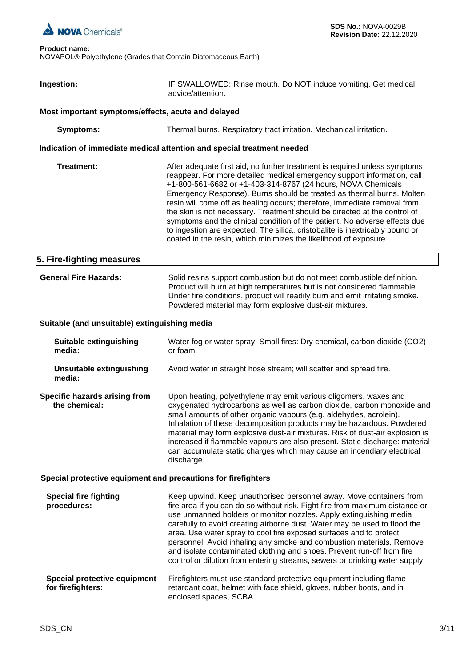

| Ingestion:                                                    | IF SWALLOWED: Rinse mouth. Do NOT induce vomiting. Get medical<br>advice/attention.                                                                                                                                                                                                                                                                                                                                                                                                                                                                                                                                                                                                       |  |  |  |
|---------------------------------------------------------------|-------------------------------------------------------------------------------------------------------------------------------------------------------------------------------------------------------------------------------------------------------------------------------------------------------------------------------------------------------------------------------------------------------------------------------------------------------------------------------------------------------------------------------------------------------------------------------------------------------------------------------------------------------------------------------------------|--|--|--|
|                                                               |                                                                                                                                                                                                                                                                                                                                                                                                                                                                                                                                                                                                                                                                                           |  |  |  |
| Most important symptoms/effects, acute and delayed            |                                                                                                                                                                                                                                                                                                                                                                                                                                                                                                                                                                                                                                                                                           |  |  |  |
| <b>Symptoms:</b>                                              | Thermal burns. Respiratory tract irritation. Mechanical irritation.                                                                                                                                                                                                                                                                                                                                                                                                                                                                                                                                                                                                                       |  |  |  |
|                                                               | Indication of immediate medical attention and special treatment needed                                                                                                                                                                                                                                                                                                                                                                                                                                                                                                                                                                                                                    |  |  |  |
| <b>Treatment:</b>                                             | After adequate first aid, no further treatment is required unless symptoms<br>reappear. For more detailed medical emergency support information, call<br>+1-800-561-6682 or +1-403-314-8767 (24 hours, NOVA Chemicals<br>Emergency Response). Burns should be treated as thermal burns. Molten<br>resin will come off as healing occurs; therefore, immediate removal from<br>the skin is not necessary. Treatment should be directed at the control of<br>symptoms and the clinical condition of the patient. No adverse effects due<br>to ingestion are expected. The silica, cristobalite is inextricably bound or<br>coated in the resin, which minimizes the likelihood of exposure. |  |  |  |
| 5. Fire-fighting measures                                     |                                                                                                                                                                                                                                                                                                                                                                                                                                                                                                                                                                                                                                                                                           |  |  |  |
| <b>General Fire Hazards:</b>                                  | Solid resins support combustion but do not meet combustible definition.<br>Product will burn at high temperatures but is not considered flammable.<br>Under fire conditions, product will readily burn and emit irritating smoke.<br>Powdered material may form explosive dust-air mixtures.                                                                                                                                                                                                                                                                                                                                                                                              |  |  |  |
| Suitable (and unsuitable) extinguishing media                 |                                                                                                                                                                                                                                                                                                                                                                                                                                                                                                                                                                                                                                                                                           |  |  |  |
| <b>Suitable extinguishing</b><br>media:                       | Water fog or water spray. Small fires: Dry chemical, carbon dioxide (CO2)<br>or foam.                                                                                                                                                                                                                                                                                                                                                                                                                                                                                                                                                                                                     |  |  |  |
| <b>Unsuitable extinguishing</b><br>media:                     | Avoid water in straight hose stream; will scatter and spread fire.                                                                                                                                                                                                                                                                                                                                                                                                                                                                                                                                                                                                                        |  |  |  |
| Specific hazards arising from<br>the chemical:                | Upon heating, polyethylene may emit various oligomers, waxes and<br>oxygenated hydrocarbons as well as carbon dioxide, carbon monoxide and<br>small amounts of other organic vapours (e.g. aldehydes, acrolein).<br>Inhalation of these decomposition products may be hazardous. Powdered<br>material may form explosive dust-air mixtures. Risk of dust-air explosion is<br>increased if flammable vapours are also present. Static discharge: material<br>can accumulate static charges which may cause an incendiary electrical<br>discharge.                                                                                                                                          |  |  |  |
| Special protective equipment and precautions for firefighters |                                                                                                                                                                                                                                                                                                                                                                                                                                                                                                                                                                                                                                                                                           |  |  |  |
| <b>Special fire fighting</b><br>procedures:                   | Keep upwind. Keep unauthorised personnel away. Move containers from<br>fire area if you can do so without risk. Fight fire from maximum distance or<br>use unmanned holders or monitor nozzles. Apply extinguishing media<br>carefully to avoid creating airborne dust. Water may be used to flood the<br>area. Use water spray to cool fire exposed surfaces and to protect<br>personnel. Avoid inhaling any smoke and combustion materials. Remove<br>and isolate contaminated clothing and shoes. Prevent run-off from fire<br>control or dilution from entering streams, sewers or drinking water supply.                                                                             |  |  |  |
| Special protective equipment<br>for firefighters:             | Firefighters must use standard protective equipment including flame<br>retardant coat, helmet with face shield, gloves, rubber boots, and in<br>enclosed spaces, SCBA.                                                                                                                                                                                                                                                                                                                                                                                                                                                                                                                    |  |  |  |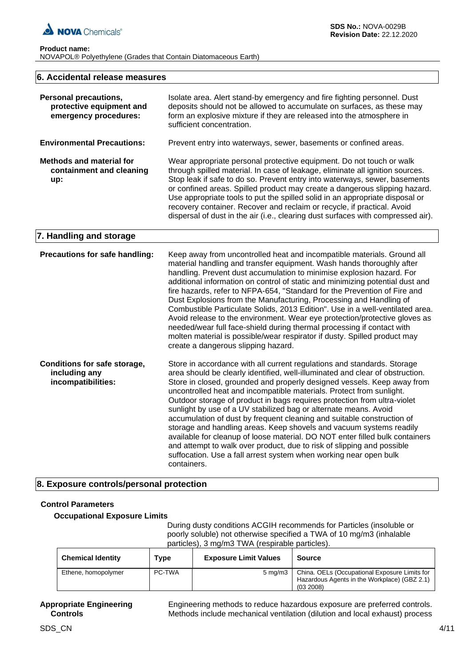

#### **Product name:** NOVAPOL® Polyethylene (Grades that Contain Diatomaceous Earth)

| 6. Accidental release measures                                                    |                                                                                                                                                                                                                                                                                                                                                                                                                                                                                                                                                                                                                                                                                                                                                                                                                                                            |  |  |
|-----------------------------------------------------------------------------------|------------------------------------------------------------------------------------------------------------------------------------------------------------------------------------------------------------------------------------------------------------------------------------------------------------------------------------------------------------------------------------------------------------------------------------------------------------------------------------------------------------------------------------------------------------------------------------------------------------------------------------------------------------------------------------------------------------------------------------------------------------------------------------------------------------------------------------------------------------|--|--|
| <b>Personal precautions,</b><br>protective equipment and<br>emergency procedures: | Isolate area. Alert stand-by emergency and fire fighting personnel. Dust<br>deposits should not be allowed to accumulate on surfaces, as these may<br>form an explosive mixture if they are released into the atmosphere in<br>sufficient concentration.                                                                                                                                                                                                                                                                                                                                                                                                                                                                                                                                                                                                   |  |  |
| <b>Environmental Precautions:</b>                                                 | Prevent entry into waterways, sewer, basements or confined areas.                                                                                                                                                                                                                                                                                                                                                                                                                                                                                                                                                                                                                                                                                                                                                                                          |  |  |
| <b>Methods and material for</b><br>containment and cleaning<br>up:                | Wear appropriate personal protective equipment. Do not touch or walk<br>through spilled material. In case of leakage, eliminate all ignition sources.<br>Stop leak if safe to do so. Prevent entry into waterways, sewer, basements<br>or confined areas. Spilled product may create a dangerous slipping hazard.<br>Use appropriate tools to put the spilled solid in an appropriate disposal or<br>recovery container. Recover and reclaim or recycle, if practical. Avoid<br>dispersal of dust in the air (i.e., clearing dust surfaces with compressed air).                                                                                                                                                                                                                                                                                           |  |  |
| 7. Handling and storage                                                           |                                                                                                                                                                                                                                                                                                                                                                                                                                                                                                                                                                                                                                                                                                                                                                                                                                                            |  |  |
| Precautions for safe handling:                                                    | Keep away from uncontrolled heat and incompatible materials. Ground all<br>material handling and transfer equipment. Wash hands thoroughly after<br>handling. Prevent dust accumulation to minimise explosion hazard. For<br>additional information on control of static and minimizing potential dust and<br>fire hazards, refer to NFPA-654, "Standard for the Prevention of Fire and<br>Dust Explosions from the Manufacturing, Processing and Handling of<br>Combustible Particulate Solids, 2013 Edition". Use in a well-ventilated area.<br>Avoid release to the environment. Wear eye protection/protective gloves as<br>needed/wear full face-shield during thermal processing if contact with<br>molten material is possible/wear respirator if dusty. Spilled product may<br>create a dangerous slipping hazard.                                 |  |  |
| Conditions for safe storage,<br>including any<br>incompatibilities:               | Store in accordance with all current regulations and standards. Storage<br>area should be clearly identified, well-illuminated and clear of obstruction.<br>Store in closed, grounded and properly designed vessels. Keep away from<br>uncontrolled heat and incompatible materials. Protect from sunlight.<br>Outdoor storage of product in bags requires protection from ultra-violet<br>sunlight by use of a UV stabilized bag or alternate means. Avoid<br>accumulation of dust by frequent cleaning and suitable construction of<br>storage and handling areas. Keep shovels and vacuum systems readily<br>available for cleanup of loose material. DO NOT enter filled bulk containers<br>and attempt to walk over product, due to risk of slipping and possible<br>suffocation. Use a fall arrest system when working near open bulk<br>containers. |  |  |

# **8. Exposure controls/personal protection**

# **Control Parameters**

#### **Occupational Exposure Limits**

During dusty conditions ACGIH recommends for Particles (insoluble or poorly soluble) not otherwise specified a TWA of 10 mg/m3 (inhalable particles), 3 mg/m3 TWA (respirable particles).

| <b>Chemical Identity</b> | Type   | <b>Exposure Limit Values</b> | <b>Source</b>                                                                                              |
|--------------------------|--------|------------------------------|------------------------------------------------------------------------------------------------------------|
| Ethene, homopolymer      | PC-TWA | $5 \text{ mg/m}$             | China. OELs (Occupational Exposure Limits for<br>Hazardous Agents in the Workplace) (GBZ 2.1)<br>(03 2008) |

#### **Appropriate Engineering Controls**

Engineering methods to reduce hazardous exposure are preferred controls. Methods include mechanical ventilation (dilution and local exhaust) process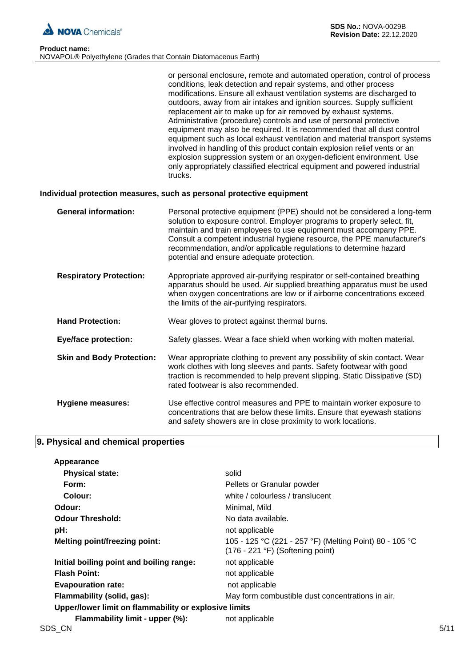

 $\overline{\phantom{a}}$ 

| <b>Product name:</b>                                           |  |  |  |
|----------------------------------------------------------------|--|--|--|
| NOVAPOL® Polyethylene (Grades that Contain Diatomaceous Earth) |  |  |  |

| or personal enclosure, remote and automated operation, control of process  |
|----------------------------------------------------------------------------|
| conditions, leak detection and repair systems, and other process           |
| modifications. Ensure all exhaust ventilation systems are discharged to    |
| outdoors, away from air intakes and ignition sources. Supply sufficient    |
| replacement air to make up for air removed by exhaust systems.             |
| Administrative (procedure) controls and use of personal protective         |
| equipment may also be required. It is recommended that all dust control    |
| equipment such as local exhaust ventilation and material transport systems |
| involved in handling of this product contain explosion relief vents or an  |
| explosion suppression system or an oxygen-deficient environment. Use       |
| only appropriately classified electrical equipment and powered industrial  |
| trucks.                                                                    |

# **Individual protection measures, such as personal protective equipment**

| <b>General information:</b>      | Personal protective equipment (PPE) should not be considered a long-term<br>solution to exposure control. Employer programs to properly select, fit,<br>maintain and train employees to use equipment must accompany PPE.<br>Consult a competent industrial hygiene resource, the PPE manufacturer's<br>recommendation, and/or applicable regulations to determine hazard<br>potential and ensure adequate protection. |
|----------------------------------|------------------------------------------------------------------------------------------------------------------------------------------------------------------------------------------------------------------------------------------------------------------------------------------------------------------------------------------------------------------------------------------------------------------------|
| <b>Respiratory Protection:</b>   | Appropriate approved air-purifying respirator or self-contained breathing<br>apparatus should be used. Air supplied breathing apparatus must be used<br>when oxygen concentrations are low or if airborne concentrations exceed<br>the limits of the air-purifying respirators.                                                                                                                                        |
| <b>Hand Protection:</b>          | Wear gloves to protect against thermal burns.                                                                                                                                                                                                                                                                                                                                                                          |
| <b>Eye/face protection:</b>      | Safety glasses. Wear a face shield when working with molten material.                                                                                                                                                                                                                                                                                                                                                  |
| <b>Skin and Body Protection:</b> | Wear appropriate clothing to prevent any possibility of skin contact. Wear<br>work clothes with long sleeves and pants. Safety footwear with good<br>traction is recommended to help prevent slipping. Static Dissipative (SD)<br>rated footwear is also recommended.                                                                                                                                                  |
| <b>Hygiene measures:</b>         | Use effective control measures and PPE to maintain worker exposure to<br>concentrations that are below these limits. Ensure that eyewash stations<br>and safety showers are in close proximity to work locations.                                                                                                                                                                                                      |

# **9. Physical and chemical properties**

| Appearance                                            |                                                                                               |      |
|-------------------------------------------------------|-----------------------------------------------------------------------------------------------|------|
| <b>Physical state:</b>                                | solid                                                                                         |      |
| Form:                                                 | Pellets or Granular powder                                                                    |      |
| Colour:                                               | white / colourless / translucent                                                              |      |
| Odour:                                                | Minimal, Mild                                                                                 |      |
| <b>Odour Threshold:</b>                               | No data available.                                                                            |      |
| pH:                                                   | not applicable                                                                                |      |
| <b>Melting point/freezing point:</b>                  | 105 - 125 °C (221 - 257 °F) (Melting Point) 80 - 105 °C<br>$(176 - 221$ °F) (Softening point) |      |
| Initial boiling point and boiling range:              | not applicable                                                                                |      |
| <b>Flash Point:</b>                                   | not applicable                                                                                |      |
| <b>Evapouration rate:</b>                             | not applicable                                                                                |      |
| Flammability (solid, gas):                            | May form combustible dust concentrations in air.                                              |      |
| Upper/lower limit on flammability or explosive limits |                                                                                               |      |
| Flammability limit - upper (%):                       | not applicable                                                                                |      |
| SDS_CN                                                |                                                                                               | 5/11 |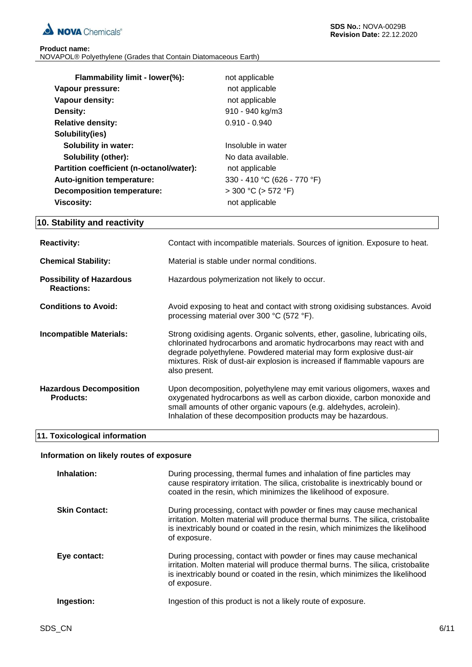

| <b>Product name:</b> |                                                                |
|----------------------|----------------------------------------------------------------|
|                      | NOVAPOL® Polyethylene (Grades that Contain Diatomaceous Earth) |

| Flammability limit - lower(%):           | not applicable              |
|------------------------------------------|-----------------------------|
| Vapour pressure:                         | not applicable              |
| Vapour density:                          | not applicable              |
| Density:                                 | 910 - 940 kg/m3             |
| <b>Relative density:</b>                 | $0.910 - 0.940$             |
| Solubility(ies)                          |                             |
| <b>Solubility in water:</b>              | Insoluble in water          |
| <b>Solubility (other):</b>               | No data available.          |
| Partition coefficient (n-octanol/water): | not applicable              |
| <b>Auto-ignition temperature:</b>        | 330 - 410 °C (626 - 770 °F) |
| <b>Decomposition temperature:</b>        | $>$ 300 °C ( $>$ 572 °F)    |
| Viscosity:                               | not applicable              |

# **10. Stability and reactivity**

| <b>Reactivity:</b>                                   | Contact with incompatible materials. Sources of ignition. Exposure to heat.                                                                                                                                                                                                                                                  |
|------------------------------------------------------|------------------------------------------------------------------------------------------------------------------------------------------------------------------------------------------------------------------------------------------------------------------------------------------------------------------------------|
| <b>Chemical Stability:</b>                           | Material is stable under normal conditions.                                                                                                                                                                                                                                                                                  |
| <b>Possibility of Hazardous</b><br><b>Reactions:</b> | Hazardous polymerization not likely to occur.                                                                                                                                                                                                                                                                                |
| <b>Conditions to Avoid:</b>                          | Avoid exposing to heat and contact with strong oxidising substances. Avoid<br>processing material over 300 °C (572 °F).                                                                                                                                                                                                      |
| Incompatible Materials:                              | Strong oxidising agents. Organic solvents, ether, gasoline, lubricating oils,<br>chlorinated hydrocarbons and aromatic hydrocarbons may react with and<br>degrade polyethylene. Powdered material may form explosive dust-air<br>mixtures. Risk of dust-air explosion is increased if flammable vapours are<br>also present. |
| <b>Hazardous Decomposition</b><br><b>Products:</b>   | Upon decomposition, polyethylene may emit various oligomers, waxes and<br>oxygenated hydrocarbons as well as carbon dioxide, carbon monoxide and<br>small amounts of other organic vapours (e.g. aldehydes, acrolein).<br>Inhalation of these decomposition products may be hazardous.                                       |

# **11. Toxicological information**

# **Information on likely routes of exposure**

| Inhalation:          | During processing, thermal fumes and inhalation of fine particles may<br>cause respiratory irritation. The silica, cristobalite is inextricably bound or<br>coated in the resin, which minimizes the likelihood of exposure.                             |
|----------------------|----------------------------------------------------------------------------------------------------------------------------------------------------------------------------------------------------------------------------------------------------------|
| <b>Skin Contact:</b> | During processing, contact with powder or fines may cause mechanical<br>irritation. Molten material will produce thermal burns. The silica, cristobalite<br>is inextricably bound or coated in the resin, which minimizes the likelihood<br>of exposure. |
| Eye contact:         | During processing, contact with powder or fines may cause mechanical<br>irritation. Molten material will produce thermal burns. The silica, cristobalite<br>is inextricably bound or coated in the resin, which minimizes the likelihood<br>of exposure. |
| Ingestion:           | Ingestion of this product is not a likely route of exposure.                                                                                                                                                                                             |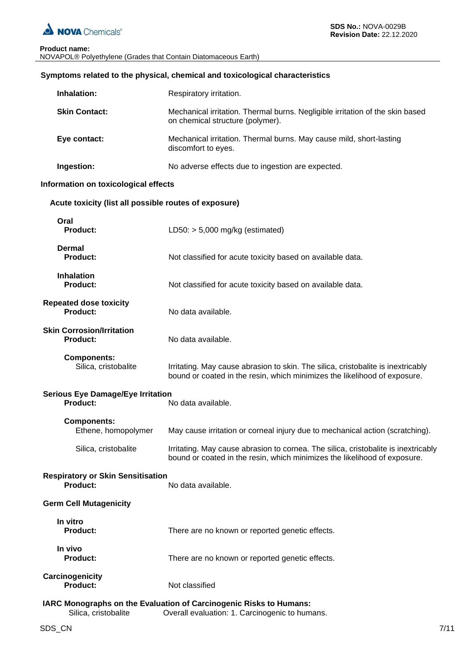

#### **Product name:** NOVAPOL® Polyethylene (Grades that Contain Diatomaceous Earth)

| Symptoms related to the physical, chemical and toxicological characteristics |  |
|------------------------------------------------------------------------------|--|
|------------------------------------------------------------------------------|--|

| Inhalation:                                                 | Respiratory irritation.                                                                                                                                         |
|-------------------------------------------------------------|-----------------------------------------------------------------------------------------------------------------------------------------------------------------|
| <b>Skin Contact:</b>                                        | Mechanical irritation. Thermal burns. Negligible irritation of the skin based<br>on chemical structure (polymer).                                               |
| Eye contact:                                                | Mechanical irritation. Thermal burns. May cause mild, short-lasting<br>discomfort to eyes.                                                                      |
| Ingestion:                                                  | No adverse effects due to ingestion are expected.                                                                                                               |
| Information on toxicological effects                        |                                                                                                                                                                 |
| Acute toxicity (list all possible routes of exposure)       |                                                                                                                                                                 |
| Oral<br><b>Product:</b>                                     | LD50: $> 5,000$ mg/kg (estimated)                                                                                                                               |
| <b>Dermal</b><br><b>Product:</b>                            | Not classified for acute toxicity based on available data.                                                                                                      |
| <b>Inhalation</b><br><b>Product:</b>                        | Not classified for acute toxicity based on available data.                                                                                                      |
| <b>Repeated dose toxicity</b><br><b>Product:</b>            | No data available.                                                                                                                                              |
| <b>Skin Corrosion/Irritation</b><br><b>Product:</b>         | No data available.                                                                                                                                              |
| <b>Components:</b><br>Silica, cristobalite                  | Irritating. May cause abrasion to skin. The silica, cristobalite is inextricably<br>bound or coated in the resin, which minimizes the likelihood of exposure.   |
| <b>Serious Eye Damage/Eye Irritation</b><br><b>Product:</b> | No data available.                                                                                                                                              |
| <b>Components:</b><br>Ethene, homopolymer                   | May cause irritation or corneal injury due to mechanical action (scratching).                                                                                   |
| Silica, cristobalite                                        | Irritating. May cause abrasion to cornea. The silica, cristobalite is inextricably<br>bound or coated in the resin, which minimizes the likelihood of exposure. |
| <b>Respiratory or Skin Sensitisation</b><br><b>Product:</b> | No data available.                                                                                                                                              |
| <b>Germ Cell Mutagenicity</b>                               |                                                                                                                                                                 |
| In vitro<br><b>Product:</b>                                 | There are no known or reported genetic effects.                                                                                                                 |
| In vivo<br><b>Product:</b>                                  | There are no known or reported genetic effects.                                                                                                                 |
| Carcinogenicity<br><b>Product:</b>                          | Not classified                                                                                                                                                  |
|                                                             | IARC Monographs on the Evaluation of Carcinogenic Risks to Humans:                                                                                              |

Silica, cristobalite **Overall evaluation: 1. Carcinogenic to humans.**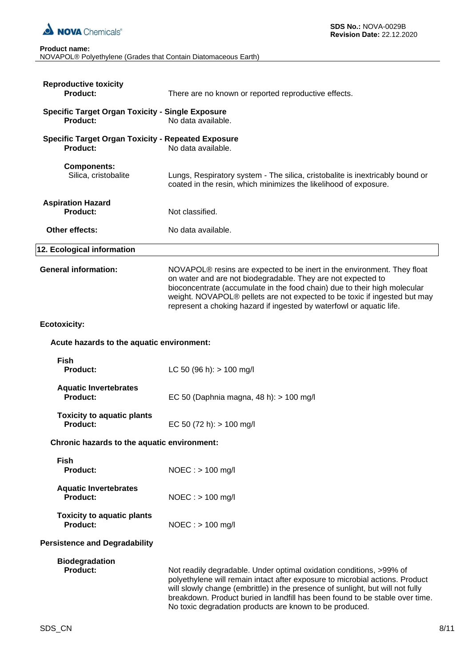

| NOVAPOL® Polyethylene (Grades that Contain Diatomaceous Earth) |  |
|----------------------------------------------------------------|--|

| <b>Reproductive toxicity</b><br>Product:                                   | There are no known or reported reproductive effects.                                                                                                                                                                                                                                                                                                                             |
|----------------------------------------------------------------------------|----------------------------------------------------------------------------------------------------------------------------------------------------------------------------------------------------------------------------------------------------------------------------------------------------------------------------------------------------------------------------------|
| <b>Specific Target Organ Toxicity - Single Exposure</b><br><b>Product:</b> | No data available.                                                                                                                                                                                                                                                                                                                                                               |
| <b>Specific Target Organ Toxicity - Repeated Exposure</b><br>Product:      | No data available.                                                                                                                                                                                                                                                                                                                                                               |
| <b>Components:</b><br>Silica, cristobalite                                 | Lungs, Respiratory system - The silica, cristobalite is inextricably bound or<br>coated in the resin, which minimizes the likelihood of exposure.                                                                                                                                                                                                                                |
| <b>Aspiration Hazard</b><br><b>Product:</b>                                | Not classified.                                                                                                                                                                                                                                                                                                                                                                  |
| Other effects:                                                             | No data available.                                                                                                                                                                                                                                                                                                                                                               |
| 12. Ecological information                                                 |                                                                                                                                                                                                                                                                                                                                                                                  |
| <b>General information:</b>                                                | NOVAPOL® resins are expected to be inert in the environment. They float<br>on water and are not biodegradable. They are not expected to<br>bioconcentrate (accumulate in the food chain) due to their high molecular<br>weight. NOVAPOL® pellets are not expected to be toxic if ingested but may<br>represent a choking hazard if ingested by waterfowl or aquatic life.        |
| <b>Ecotoxicity:</b>                                                        |                                                                                                                                                                                                                                                                                                                                                                                  |
| Acute hazards to the aquatic environment:                                  |                                                                                                                                                                                                                                                                                                                                                                                  |
| <b>Fish</b><br><b>Product:</b>                                             | LC 50 (96 h): $> 100$ mg/l                                                                                                                                                                                                                                                                                                                                                       |
| <b>Aquatic Invertebrates</b><br>Product:                                   | EC 50 (Daphnia magna, 48 h): > 100 mg/l                                                                                                                                                                                                                                                                                                                                          |
| <b>Toxicity to aquatic plants</b><br><b>Product:</b>                       | EC 50 (72 h): $> 100$ mg/l                                                                                                                                                                                                                                                                                                                                                       |
| Chronic hazards to the aquatic environment:                                |                                                                                                                                                                                                                                                                                                                                                                                  |
| Fish<br><b>Product:</b>                                                    | $NOEC : > 100$ mg/l                                                                                                                                                                                                                                                                                                                                                              |
| <b>Aquatic Invertebrates</b><br>Product:                                   | $NOEC : > 100$ mg/l                                                                                                                                                                                                                                                                                                                                                              |
| <b>Toxicity to aquatic plants</b><br><b>Product:</b>                       | $NOEC :$ > 100 mg/l                                                                                                                                                                                                                                                                                                                                                              |
| <b>Persistence and Degradability</b>                                       |                                                                                                                                                                                                                                                                                                                                                                                  |
| <b>Biodegradation</b><br><b>Product:</b>                                   | Not readily degradable. Under optimal oxidation conditions, >99% of<br>polyethylene will remain intact after exposure to microbial actions. Product<br>will slowly change (embrittle) in the presence of sunlight, but will not fully<br>breakdown. Product buried in landfill has been found to be stable over time.<br>No toxic degradation products are known to be produced. |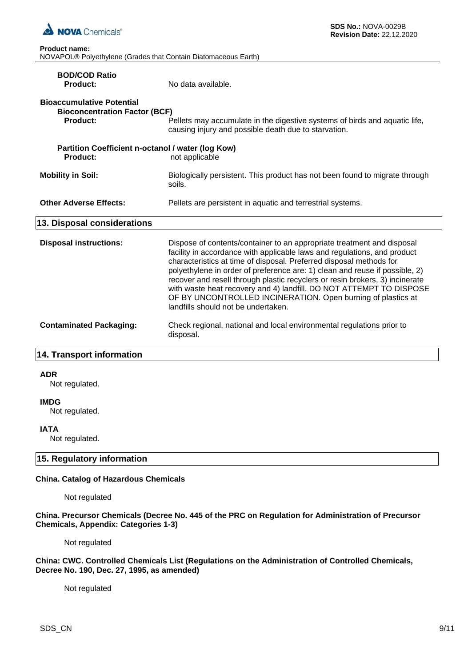

| <b>Product name:</b> |                                                                            |
|----------------------|----------------------------------------------------------------------------|
|                      | NOVAPOL <sup>®</sup> Polyethylene (Grades that Contain Diatomaceous Earth) |

| <b>BOD/COD Ratio</b><br><b>Product:</b>                                              | No data available.                                                                                                                                                                                                                                                                                                                                                                                                                                                                                                                                                     |
|--------------------------------------------------------------------------------------|------------------------------------------------------------------------------------------------------------------------------------------------------------------------------------------------------------------------------------------------------------------------------------------------------------------------------------------------------------------------------------------------------------------------------------------------------------------------------------------------------------------------------------------------------------------------|
| <b>Bioaccumulative Potential</b><br><b>Bioconcentration Factor (BCF)</b><br>Product: | Pellets may accumulate in the digestive systems of birds and aquatic life,<br>causing injury and possible death due to starvation.                                                                                                                                                                                                                                                                                                                                                                                                                                     |
| Partition Coefficient n-octanol / water (log Kow)<br>Product:                        | not applicable                                                                                                                                                                                                                                                                                                                                                                                                                                                                                                                                                         |
| <b>Mobility in Soil:</b>                                                             | Biologically persistent. This product has not been found to migrate through<br>soils.                                                                                                                                                                                                                                                                                                                                                                                                                                                                                  |
| <b>Other Adverse Effects:</b>                                                        | Pellets are persistent in aquatic and terrestrial systems.                                                                                                                                                                                                                                                                                                                                                                                                                                                                                                             |
| 13. Disposal considerations                                                          |                                                                                                                                                                                                                                                                                                                                                                                                                                                                                                                                                                        |
| <b>Disposal instructions:</b>                                                        | Dispose of contents/container to an appropriate treatment and disposal<br>facility in accordance with applicable laws and regulations, and product<br>characteristics at time of disposal. Preferred disposal methods for<br>polyethylene in order of preference are: 1) clean and reuse if possible, 2)<br>recover and resell through plastic recyclers or resin brokers, 3) incinerate<br>with waste heat recovery and 4) landfill. DO NOT ATTEMPT TO DISPOSE<br>OF BY UNCONTROLLED INCINERATION. Open burning of plastics at<br>landfills should not be undertaken. |
| <b>Contaminated Packaging:</b>                                                       | Check regional, national and local environmental regulations prior to<br>disposal.                                                                                                                                                                                                                                                                                                                                                                                                                                                                                     |
| 14. Transport information                                                            |                                                                                                                                                                                                                                                                                                                                                                                                                                                                                                                                                                        |

#### **ADR**

Not regulated.

#### **IMDG**

Not regulated.

# **IATA**

Not regulated.

# **15. Regulatory information**

# **China. Catalog of Hazardous Chemicals**

Not regulated

**China. Precursor Chemicals (Decree No. 445 of the PRC on Regulation for Administration of Precursor Chemicals, Appendix: Categories 1-3)**

Not regulated

**China: CWC. Controlled Chemicals List (Regulations on the Administration of Controlled Chemicals, Decree No. 190, Dec. 27, 1995, as amended)**

Not regulated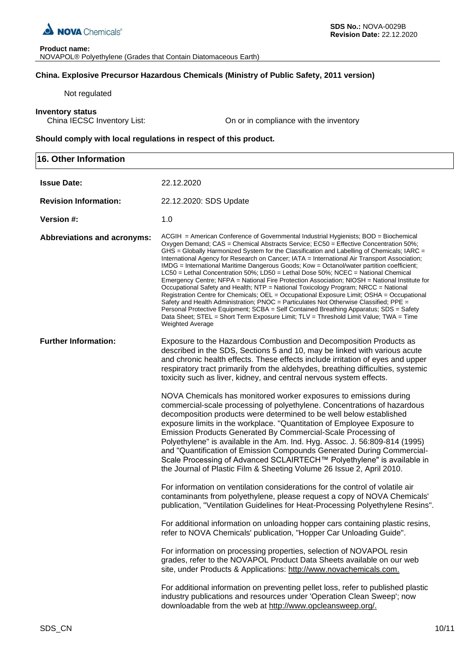

# **China. Explosive Precursor Hazardous Chemicals (Ministry of Public Safety, 2011 version)**

Not regulated

**Inventory status**<br>China IECSC Inventory List:

On or in compliance with the inventory

**Should comply with local regulations in respect of this product.**

| <b>16. Other Information</b>       |                                                                                                                                                                                                                                                                                                                                                                                                                                                                                                                                                                                                                                                                                                                                                                                                                                                                                                                                                                                                                                                                                                                                                          |
|------------------------------------|----------------------------------------------------------------------------------------------------------------------------------------------------------------------------------------------------------------------------------------------------------------------------------------------------------------------------------------------------------------------------------------------------------------------------------------------------------------------------------------------------------------------------------------------------------------------------------------------------------------------------------------------------------------------------------------------------------------------------------------------------------------------------------------------------------------------------------------------------------------------------------------------------------------------------------------------------------------------------------------------------------------------------------------------------------------------------------------------------------------------------------------------------------|
| <b>Issue Date:</b>                 | 22.12.2020                                                                                                                                                                                                                                                                                                                                                                                                                                                                                                                                                                                                                                                                                                                                                                                                                                                                                                                                                                                                                                                                                                                                               |
| <b>Revision Information:</b>       | 22.12.2020: SDS Update                                                                                                                                                                                                                                                                                                                                                                                                                                                                                                                                                                                                                                                                                                                                                                                                                                                                                                                                                                                                                                                                                                                                   |
| Version #:                         | 1.0                                                                                                                                                                                                                                                                                                                                                                                                                                                                                                                                                                                                                                                                                                                                                                                                                                                                                                                                                                                                                                                                                                                                                      |
| <b>Abbreviations and acronyms:</b> | $ACGH = American Conference of Governmental Industrial Hygienists; BOD = Biochemical$<br>Oxygen Demand; CAS = Chemical Abstracts Service; EC50 = Effective Concentration 50%;<br>GHS = Globally Harmonized System for the Classification and Labelling of Chemicals; IARC =<br>International Agency for Research on Cancer; IATA = International Air Transport Association;<br>IMDG = International Maritime Dangerous Goods; Kow = Octanol/water partition coefficient;<br>LC50 = Lethal Concentration 50%; LD50 = Lethal Dose 50%; NCEC = National Chemical<br>Emergency Centre; NFPA = National Fire Protection Association; NIOSH = National Institute for<br>Occupational Safety and Health; NTP = National Toxicology Program; NRCC = National<br>Registration Centre for Chemicals; OEL = Occupational Exposure Limit; OSHA = Occupational<br>Safety and Health Administration; PNOC = Particulates Not Otherwise Classified; PPE =<br>Personal Protective Equipment; SCBA = Self Contained Breathing Apparatus; SDS = Safety<br>Data Sheet; STEL = Short Term Exposure Limit; TLV = Threshold Limit Value; TWA = Time<br><b>Weighted Average</b> |
| <b>Further Information:</b>        | Exposure to the Hazardous Combustion and Decomposition Products as<br>described in the SDS, Sections 5 and 10, may be linked with various acute<br>and chronic health effects. These effects include irritation of eyes and upper<br>respiratory tract primarily from the aldehydes, breathing difficulties, systemic<br>toxicity such as liver, kidney, and central nervous system effects.                                                                                                                                                                                                                                                                                                                                                                                                                                                                                                                                                                                                                                                                                                                                                             |
|                                    | NOVA Chemicals has monitored worker exposures to emissions during<br>commercial-scale processing of polyethylene. Concentrations of hazardous<br>decomposition products were determined to be well below established<br>exposure limits in the workplace. "Quantitation of Employee Exposure to<br>Emission Products Generated By Commercial-Scale Processing of<br>Polyethylene" is available in the Am. Ind. Hyg. Assoc. J. 56:809-814 (1995)<br>and "Quantification of Emission Compounds Generated During Commercial-<br>Scale Processing of Advanced SCLAIRTECH™ Polyethylene" is available in<br>the Journal of Plastic Film & Sheeting Volume 26 Issue 2, April 2010.                                                                                                                                                                                                                                                                                                                                                                                                                                                                             |
|                                    | For information on ventilation considerations for the control of volatile air<br>contaminants from polyethylene, please request a copy of NOVA Chemicals'<br>publication, "Ventilation Guidelines for Heat-Processing Polyethylene Resins".                                                                                                                                                                                                                                                                                                                                                                                                                                                                                                                                                                                                                                                                                                                                                                                                                                                                                                              |
|                                    | For additional information on unloading hopper cars containing plastic resins,<br>refer to NOVA Chemicals' publication, "Hopper Car Unloading Guide".                                                                                                                                                                                                                                                                                                                                                                                                                                                                                                                                                                                                                                                                                                                                                                                                                                                                                                                                                                                                    |
|                                    | For information on processing properties, selection of NOVAPOL resin<br>grades, refer to the NOVAPOL Product Data Sheets available on our web<br>site, under Products & Applications: http://www.novachemicals.com.                                                                                                                                                                                                                                                                                                                                                                                                                                                                                                                                                                                                                                                                                                                                                                                                                                                                                                                                      |
|                                    | For additional information on preventing pellet loss, refer to published plastic<br>industry publications and resources under 'Operation Clean Sweep'; now<br>downloadable from the web at http://www.opcleansweep.org/.                                                                                                                                                                                                                                                                                                                                                                                                                                                                                                                                                                                                                                                                                                                                                                                                                                                                                                                                 |